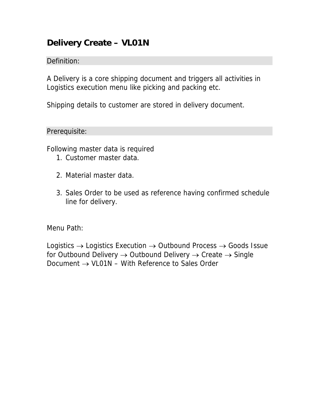## **Delivery Create – VL01N**

## Definition:

A Delivery is a core shipping document and triggers all activities in Logistics execution menu like picking and packing etc.

Shipping details to customer are stored in delivery document.

Prerequisite:

Following master data is required

- 1. Customer master data.
- 2. Material master data.
- 3. Sales Order to be used as reference having confirmed schedule line for delivery.

Menu Path:

Logistics  $\rightarrow$  Logistics Execution  $\rightarrow$  Outbound Process  $\rightarrow$  Goods Issue for Outbound Delivery  $\rightarrow$  Outbound Delivery  $\rightarrow$  Create  $\rightarrow$  Single Document  $\rightarrow$  VL01N – With Reference to Sales Order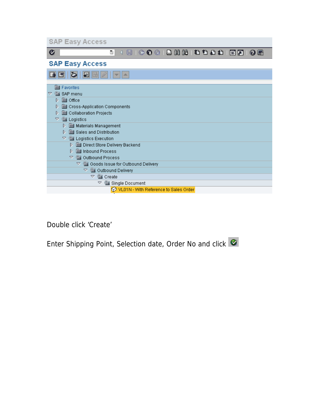| <b>SAP Easy Access</b>                                                         |
|--------------------------------------------------------------------------------|
| Ø<br>SS 14 4 4 5 6 1 2 1 2 1 2 2 3 4 1 2 2<br>ū<br>0 E                         |
| <b>SAP Easy Access</b>                                                         |
| K<br>盀                                                                         |
| <b>se</b> Favorites                                                            |
| SAP menu<br>A                                                                  |
| <b>se Office</b><br>D.                                                         |
| Cross-Application Components<br>D                                              |
| Collaboration Projects<br>D                                                    |
| <b>WE Logistics</b><br>▽                                                       |
| <b>Materials Management</b><br>D.                                              |
| Sales and Distribution<br>D                                                    |
| Logistics Execution<br>▽                                                       |
| D<br>Direct Store Delivery Backend                                             |
| <b>Sell</b> Inbound Process<br>D.                                              |
| A<br><b>Solutional Process</b>                                                 |
| $\heartsuit$ $\overset{\text{\tiny def}}{=}$ Goods Issue for Outbound Delivery |
| ▽ ▒ Outbound Delivery                                                          |
| <b>SEA</b> Create<br>▽                                                         |
| Single Document<br>Δ                                                           |
| VL01N - With Reference to Sales Order                                          |

Double click 'Create'

Enter Shipping Point, Selection date, Order No and click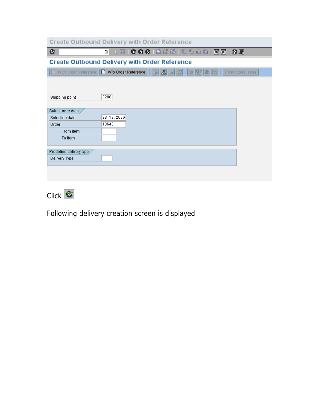|                         | <b>Create Outbound Delivery with Order Reference</b>                                                                                                                                 |
|-------------------------|--------------------------------------------------------------------------------------------------------------------------------------------------------------------------------------|
| Ø                       | $[ \Box \quad \bullet \quad \bullet \quad \bullet \quad \Box \quad \Box \quad \Box \quad \Box \quad \Diamond \quad \bullet \quad \Box \quad \Box \quad \Box$<br>Ō.<br>06<br>※ 2<br>◁ |
|                         | <b>Create Outbound Delivery with Order Reference</b>                                                                                                                                 |
|                         | With Order Reference     W/o Order Reference<br>$ \mathbb{Z} $<br>330<br>Post goods issue                                                                                            |
|                         |                                                                                                                                                                                      |
| Shipping point          | 3200                                                                                                                                                                                 |
| Sales order data        |                                                                                                                                                                                      |
| Selection date          | 28.12.2006                                                                                                                                                                           |
| Order                   | 10643                                                                                                                                                                                |
| From item               |                                                                                                                                                                                      |
| To item                 |                                                                                                                                                                                      |
|                         |                                                                                                                                                                                      |
| Predefine delivery type |                                                                                                                                                                                      |
| Delivery Type           |                                                                                                                                                                                      |
|                         |                                                                                                                                                                                      |
|                         |                                                                                                                                                                                      |
|                         |                                                                                                                                                                                      |



Following delivery creation screen is displayed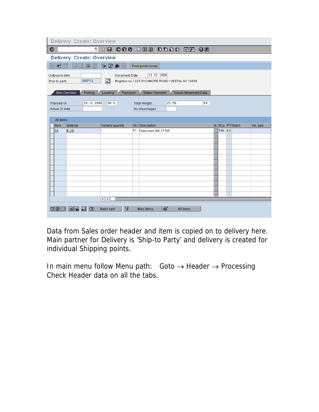|                                                                                                                                                                                                                                                                                                                                                                                                                                                   | Delivery Create: Overview                                                                                                                                                                                 |                             |                              |                               |  |  |  |  |  |  |  |
|---------------------------------------------------------------------------------------------------------------------------------------------------------------------------------------------------------------------------------------------------------------------------------------------------------------------------------------------------------------------------------------------------------------------------------------------------|-----------------------------------------------------------------------------------------------------------------------------------------------------------------------------------------------------------|-----------------------------|------------------------------|-------------------------------|--|--|--|--|--|--|--|
| $\begin{array}{l} \textbf{B} \parallel \textbf{C} \textbf{C} \textbf{C} \textbf{C} \textbf{C} \textbf{C} \textbf{C} \textbf{C} \textbf{C} \textbf{C} \textbf{C} \textbf{C} \textbf{C} \textbf{C} \textbf{C} \textbf{C} \textbf{C} \textbf{C} \textbf{C} \textbf{C} \textbf{C} \textbf{C} \textbf{C} \textbf{C} \textbf{C} \textbf{C} \textbf{C} \textbf{C} \textbf{C} \textbf{C} \textbf{C} \textbf{C} \textbf{C} \textbf{C} \$<br>$\bullet$<br>画 |                                                                                                                                                                                                           |                             |                              |                               |  |  |  |  |  |  |  |
|                                                                                                                                                                                                                                                                                                                                                                                                                                                   | <b>Delivery Create: Overview</b>                                                                                                                                                                          |                             |                              |                               |  |  |  |  |  |  |  |
| 昭同<br>*                                                                                                                                                                                                                                                                                                                                                                                                                                           | B<br>위<br>Φ₹                                                                                                                                                                                              | $\blacktriangleright$<br>图鱼 | Post goods issue             |                               |  |  |  |  |  |  |  |
|                                                                                                                                                                                                                                                                                                                                                                                                                                                   | 23.12.2006<br>Document Date<br>Outbound deliv.<br>囙<br>300713<br>Brighton Inc / 225 SYCAMORE ROAD / VESTAL NY 13850<br>Ship-to party                                                                      |                             |                              |                               |  |  |  |  |  |  |  |
|                                                                                                                                                                                                                                                                                                                                                                                                                                                   | Item Overview<br>Loading<br>Transport<br>Status Overview<br>Goods Movement Data<br>Picking<br>28.12.2006<br>80:0.<br>KG<br>20.50<br>Planned Gl<br><b>Total Weight</b><br>No.of packages<br>Actual GI date |                             |                              |                               |  |  |  |  |  |  |  |
| All items                                                                                                                                                                                                                                                                                                                                                                                                                                         |                                                                                                                                                                                                           |                             |                              |                               |  |  |  |  |  |  |  |
| Item                                                                                                                                                                                                                                                                                                                                                                                                                                              | Material                                                                                                                                                                                                  | Delivery quantity           | <b>SU</b> Description        | B. ItCa PV Batch<br>Val. type |  |  |  |  |  |  |  |
| 10                                                                                                                                                                                                                                                                                                                                                                                                                                                | $M - 10$                                                                                                                                                                                                  | 1                           | PC.<br>Flatscreen MS 1775P   | TAN AA                        |  |  |  |  |  |  |  |
|                                                                                                                                                                                                                                                                                                                                                                                                                                                   |                                                                                                                                                                                                           |                             |                              |                               |  |  |  |  |  |  |  |
|                                                                                                                                                                                                                                                                                                                                                                                                                                                   |                                                                                                                                                                                                           |                             |                              |                               |  |  |  |  |  |  |  |
|                                                                                                                                                                                                                                                                                                                                                                                                                                                   |                                                                                                                                                                                                           |                             |                              |                               |  |  |  |  |  |  |  |
|                                                                                                                                                                                                                                                                                                                                                                                                                                                   |                                                                                                                                                                                                           |                             |                              |                               |  |  |  |  |  |  |  |
|                                                                                                                                                                                                                                                                                                                                                                                                                                                   |                                                                                                                                                                                                           |                             |                              |                               |  |  |  |  |  |  |  |
|                                                                                                                                                                                                                                                                                                                                                                                                                                                   |                                                                                                                                                                                                           |                             |                              |                               |  |  |  |  |  |  |  |
|                                                                                                                                                                                                                                                                                                                                                                                                                                                   |                                                                                                                                                                                                           |                             |                              |                               |  |  |  |  |  |  |  |
|                                                                                                                                                                                                                                                                                                                                                                                                                                                   |                                                                                                                                                                                                           |                             |                              |                               |  |  |  |  |  |  |  |
|                                                                                                                                                                                                                                                                                                                                                                                                                                                   |                                                                                                                                                                                                           |                             |                              |                               |  |  |  |  |  |  |  |
|                                                                                                                                                                                                                                                                                                                                                                                                                                                   |                                                                                                                                                                                                           |                             |                              |                               |  |  |  |  |  |  |  |
|                                                                                                                                                                                                                                                                                                                                                                                                                                                   |                                                                                                                                                                                                           | $\P$ $\P$                   |                              |                               |  |  |  |  |  |  |  |
| QEE                                                                                                                                                                                                                                                                                                                                                                                                                                               | 터틴<br>B.<br>Q                                                                                                                                                                                             | ጌ<br><b>Batch split</b>     | 圂<br>Main items<br>All items |                               |  |  |  |  |  |  |  |

Data from Sales order header and item is copied on to delivery here. Main partner for Delivery is 'Ship-to Party' and delivery is created for individual Shipping points.

In main menu follow Menu path: Goto  $\rightarrow$  Header  $\rightarrow$  Processing Check Header data on all the tabs.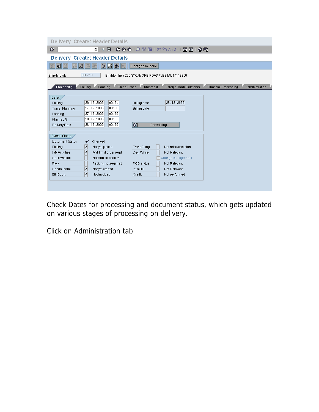| <b>Delivery Create: Header Details</b>                                                                                                                        |                                                                                                                                                            |                                                                                                                                                                                     |                                                      |                |
|---------------------------------------------------------------------------------------------------------------------------------------------------------------|------------------------------------------------------------------------------------------------------------------------------------------------------------|-------------------------------------------------------------------------------------------------------------------------------------------------------------------------------------|------------------------------------------------------|----------------|
| Ø                                                                                                                                                             | ū                                                                                                                                                          | $\blacksquare$ $\blacksquare$ $\blacksquare$ $\blacksquare$ $\blacksquare$ $\blacksquare$ $\blacksquare$ $\blacksquare$ $\blacksquare$ $\blacksquare$ $\blacksquare$ $\blacksquare$ | 06                                                   |                |
| <b>Delivery Create: Header Details</b>                                                                                                                        |                                                                                                                                                            |                                                                                                                                                                                     |                                                      |                |
| 噌<br>୷                                                                                                                                                        | 图鱼<br>Þ                                                                                                                                                    | Post goods issue                                                                                                                                                                    |                                                      |                |
| 300713<br>Ship-to party                                                                                                                                       |                                                                                                                                                            | Brighton Inc / 225 SYCAMORE ROAD / VESTAL NY 13850                                                                                                                                  |                                                      |                |
| Picking<br>Processing                                                                                                                                         | Global Trade<br>Loading                                                                                                                                    | Shipment                                                                                                                                                                            | Foreign Trade/Customs<br><b>Financial Processing</b> | Administration |
| Dates<br>26.12.2006<br>Picking<br>27.12.2006<br>Trans. Planning<br>27.12.2006<br>Loading<br>28.12.2006<br>Planned GI<br>28.12.2006<br>Delivery Date           | 00:0<br>00:00<br>00:00<br>00:0<br>Ð<br> 00:00                                                                                                              | 28.12.2006<br><b>Billing date</b><br><b>Billing date</b><br>Scheduling                                                                                                              |                                                      |                |
| Overall Status<br>Document Status<br>✔<br>A<br>Picking<br>Å<br><b>WM Activities</b><br>Confirmation<br>Pack<br>A<br>Goods Issue<br>$\mathbf{A}$<br>Bill.Docs. | Checked<br>Not yet picked<br>WM Trnsf order regd<br>Not sub, to confirm.<br>Packing not required<br>IntcoBill<br>Not yet started<br>Not invoiced<br>Credit | TransPlnng<br>Not rel.transp.plan.<br>Dec. Whse<br>Not Relevant<br>□ Change Management<br>POD status<br>Not Relevant<br>Not Relevant<br>Not performed                               |                                                      |                |

Check Dates for processing and document status, which gets updated on various stages of processing on delivery.

Click on Administration tab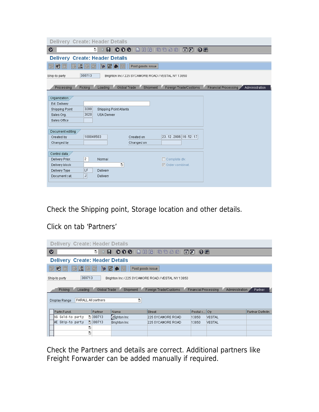| <b>Delivery Create: Header Details</b>                                        |                                                                        |
|-------------------------------------------------------------------------------|------------------------------------------------------------------------|
| Ø<br>8 0 0 0 0 1 2 2 2 2 2 2 2 2 2 3 4<br>ūI                                  |                                                                        |
| <b>Delivery Create: Header Details</b>                                        |                                                                        |
| 图鱼<br>୷<br>Ð<br><b>昭</b><br>Post goods issue                                  |                                                                        |
| 300713<br>Ship-to party<br>Brighton Inc / 225 SYCAMORE ROAD / VESTAL NY 13850 |                                                                        |
| Processing<br>Picking<br>Loading<br>Global Trade<br>Shipment                  | Foreign Trade/Customs<br><b>Financial Processing</b><br>Administration |
|                                                                               |                                                                        |
| Organization                                                                  |                                                                        |
| Ext. Delivery                                                                 |                                                                        |
| 3200<br><b>Shipping Point</b><br>Shipping Point Atlanta                       |                                                                        |
| 3020<br>USA Denver<br>Sales Org.                                              |                                                                        |
| Sales Office                                                                  |                                                                        |
| Document editing                                                              |                                                                        |
| 100049503<br>Created by<br>Created on                                         | 23.12.2006 16:52:17                                                    |
| Changed by<br>Changed on                                                      |                                                                        |
|                                                                               |                                                                        |
| Control data                                                                  |                                                                        |
| $\overline{2}$<br>Delivery Prior.<br>Normal                                   | $\Box$ Complete div.                                                   |
| ū<br>Delivery block                                                           | $\nabla$ Order combinat.                                               |
| LF<br>Delivery<br>Delivery Type                                               |                                                                        |
| $\vert$<br>Document cat.<br>Delivery                                          |                                                                        |
|                                                                               |                                                                        |

Check the Shipping point, Storage location and other details.

## Click on tab 'Partners'

|                                                                                                                                                                                  | <b>Delivery Create: Header Details</b>                                        |                |                        |                   |              |               |                  |  |  |  |
|----------------------------------------------------------------------------------------------------------------------------------------------------------------------------------|-------------------------------------------------------------------------------|----------------|------------------------|-------------------|--------------|---------------|------------------|--|--|--|
|                                                                                                                                                                                  | Ø<br>日 800 日尚尚 2005   800<br>ū<br>0 E                                         |                |                        |                   |              |               |                  |  |  |  |
|                                                                                                                                                                                  | <b>Delivery Create: Header Details</b>                                        |                |                        |                   |              |               |                  |  |  |  |
|                                                                                                                                                                                  | E Z E Z <br>噌                                                                 | $\mathbb{B}^+$ | 图命<br>Post goods issue |                   |              |               |                  |  |  |  |
|                                                                                                                                                                                  | 300713<br>Ship-to party<br>Brighton Inc / 225 SYCAMORE ROAD / VESTAL NY 13850 |                |                        |                   |              |               |                  |  |  |  |
| Global Trade<br>Shipment<br>Foreign Trade/Customs<br><b>Financial Processing</b><br>Partner<br>Picking<br>Loading<br>Administration<br>ū<br>PARALL All partners<br>Display Range |                                                                               |                |                        |                   |              |               |                  |  |  |  |
|                                                                                                                                                                                  | Partn.Funct.                                                                  | Partner        | Name                   | <b>Street</b>     | Postal c Cty |               | Partner Definitn |  |  |  |
|                                                                                                                                                                                  | AG Sold-to party                                                              | ■ 300713       | d ghton Inc            | 225 SYCAMORE ROAD | 13850        | <b>NESTAL</b> |                  |  |  |  |
|                                                                                                                                                                                  | WE Ship-to party                                                              | 图 300713       | <b>Brighton Inc.</b>   | 225 SYCAMORE ROAD | 13850        | VESTAL        |                  |  |  |  |
|                                                                                                                                                                                  | ū                                                                             |                |                        |                   |              |               |                  |  |  |  |
|                                                                                                                                                                                  | ū                                                                             |                |                        |                   |              |               |                  |  |  |  |
|                                                                                                                                                                                  |                                                                               |                |                        |                   |              |               |                  |  |  |  |

Check the Partners and details are correct. Additional partners like Freight Forwarder can be added manually if required.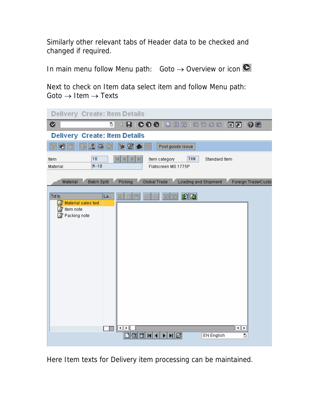Similarly other relevant tabs of Header data to be checked and changed if required.

In main menu follow Menu path: Goto  $\rightarrow$  Overview or icon

Next to check on Item data select item and follow Menu path:  $Goto \rightarrow Item \rightarrow Texts$ 

| <b>Delivery Create: Item Details</b>                                       |                                                                                    |
|----------------------------------------------------------------------------|------------------------------------------------------------------------------------|
| Ø<br>Ū                                                                     | 8 0 0 0 1 2 3 3 4 5 6 7 8 7 8 8 9 8 1                                              |
| <b>Delivery Create: Item Details</b>                                       |                                                                                    |
| 26<br>噌                                                                    | P<br>图命<br>Post goods issue                                                        |
| 10<br>Item<br>$M - 10$<br>Material                                         | TAN<br>Item category<br>Standard Item<br>Flatscreen MS 1775P                       |
| <b>Batch Split</b><br>Material                                             | Loading and Shipment<br>Picking<br>Global Trade<br>Foreign Trade/Custo             |
| Txt ty.<br>La<br>Material sales text<br><b>Z</b> Item note<br>Packing note | 図图<br>岡<br>間<br>বা⊧<br>Þ<br>甸<br><b>EN English</b><br>비용<br>q<br>$\mathbf{H}$<br>ū |

Here Item texts for Delivery item processing can be maintained.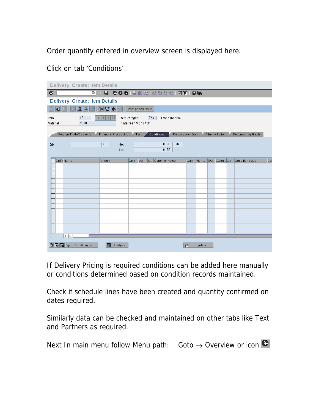Order quantity entered in overview screen is displayed here.

| <b>Delivery Create: Item Details</b>                                                                                                                                                                |                      |                 |      |     |  |                   |   |                       |  |  |                 |     |
|-----------------------------------------------------------------------------------------------------------------------------------------------------------------------------------------------------|----------------------|-----------------|------|-----|--|-------------------|---|-----------------------|--|--|-----------------|-----|
| $\bullet$<br>4 8 6 6 6 8 8 8 8 8 9 8 8 8 8 8 9 8<br>ū                                                                                                                                               |                      |                 |      |     |  |                   |   |                       |  |  |                 |     |
| <b>Delivery Create: Item Details</b>                                                                                                                                                                |                      |                 |      |     |  |                   |   |                       |  |  |                 |     |
| BZ<br>$ \triangleright \mathbf{E} $ a $\boxdot$<br>昭日<br>Post goods issue<br>國                                                                                                                      |                      |                 |      |     |  |                   |   |                       |  |  |                 |     |
| 10<br><b>TAN</b><br>Item category<br>Standard Item<br>Item<br>$M - 10$<br>Material<br>Flatscreen MS 1775P                                                                                           |                      |                 |      |     |  |                   |   |                       |  |  |                 |     |
| Foreign Trade/Customs<br><b>Financial Processing</b><br>Predecessor Data<br>Conditions<br>Administration<br>Documentary Batch<br>Texts<br>$1$ PC<br><b>USD</b><br>0.00<br>Qty<br>Net<br>0.00<br>Tax |                      |                 |      |     |  |                   |   |                       |  |  |                 |     |
| CnTy Name                                                                                                                                                                                           |                      | Amount          | Crcy | per |  | U Condition value |   | Curr. Num OUn CCon Un |  |  | Condition value | $1$ |
|                                                                                                                                                                                                     |                      |                 |      |     |  |                   |   |                       |  |  |                 |     |
|                                                                                                                                                                                                     |                      |                 |      |     |  |                   |   |                       |  |  |                 |     |
|                                                                                                                                                                                                     |                      |                 |      |     |  |                   |   |                       |  |  |                 |     |
|                                                                                                                                                                                                     |                      |                 |      |     |  |                   |   |                       |  |  |                 |     |
|                                                                                                                                                                                                     |                      |                 |      |     |  |                   |   |                       |  |  |                 |     |
|                                                                                                                                                                                                     |                      |                 |      |     |  |                   |   |                       |  |  |                 |     |
|                                                                                                                                                                                                     |                      |                 |      |     |  |                   |   |                       |  |  |                 |     |
|                                                                                                                                                                                                     |                      |                 |      |     |  |                   |   |                       |  |  |                 |     |
|                                                                                                                                                                                                     |                      |                 |      |     |  |                   |   |                       |  |  |                 |     |
|                                                                                                                                                                                                     |                      |                 |      |     |  |                   |   |                       |  |  |                 |     |
|                                                                                                                                                                                                     |                      |                 |      |     |  |                   |   |                       |  |  |                 |     |
|                                                                                                                                                                                                     |                      |                 |      |     |  |                   |   |                       |  |  |                 |     |
|                                                                                                                                                                                                     | $\overline{ \cdot }$ |                 |      |     |  |                   |   |                       |  |  |                 |     |
| ◎困国⊗                                                                                                                                                                                                | Condition rec.       | liн<br>Analysis |      |     |  |                   | 蔷 | Update                |  |  |                 |     |

Click on tab 'Conditions'

If Delivery Pricing is required conditions can be added here manually or conditions determined based on condition records maintained.

Check if schedule lines have been created and quantity confirmed on dates required.

Similarly data can be checked and maintained on other tabs like Text and Partners as required.

Next In main menu follow Menu path: Goto  $\rightarrow$  Overview or icon